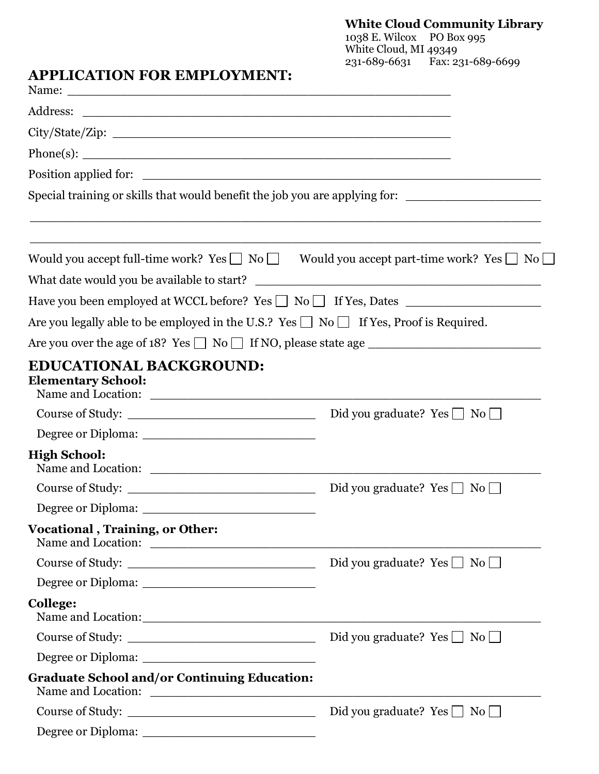## **White Cloud Community Library**

1038 E. Wilcox PO Box 995 White Cloud, MI 49349 231-689-6631 Fax: 231-689-6699

## **APPLICATION FOR EMPLOYMENT:**

|                                                             | Special training or skills that would benefit the job you are applying for:                                 |
|-------------------------------------------------------------|-------------------------------------------------------------------------------------------------------------|
|                                                             |                                                                                                             |
|                                                             | Would you accept full-time work? Yes $\Box$ No $\Box$ Would you accept part-time work? Yes $\Box$ No $\Box$ |
| What date would you be available to start?                  | <u> 1989 - Andrea Stadt, fransk politik (d. 1989)</u>                                                       |
|                                                             | Have you been employed at WCCL before? Yes □ No □ If Yes, Dates ________________                            |
|                                                             | Are you legally able to be employed in the U.S.? Yes $\Box$ No $\Box$ If Yes, Proof is Required.            |
|                                                             | Are you over the age of 18? Yes $\Box$ No $\Box$ If NO, please state age $\Box$                             |
| <b>EDUCATIONAL BACKGROUND:</b><br><b>Elementary School:</b> |                                                                                                             |
| Course of Study:                                            | Did you graduate? $Yes \perp No \perp$                                                                      |
|                                                             |                                                                                                             |
| <b>High School:</b>                                         |                                                                                                             |
| Course of Study:                                            | Did you graduate? Yes $\Box$ No $\Box$                                                                      |
|                                                             |                                                                                                             |
| <b>Vocational, Training, or Other:</b>                      |                                                                                                             |
| Course of Study:                                            | Did you graduate? $Yes \Box No \Box$                                                                        |
|                                                             |                                                                                                             |
| College:                                                    |                                                                                                             |
|                                                             |                                                                                                             |
|                                                             |                                                                                                             |
| <b>Graduate School and/or Continuing Education:</b>         |                                                                                                             |
| Course of Study:                                            | Did you graduate? Yes $\Box$ No $\Box$                                                                      |
|                                                             |                                                                                                             |